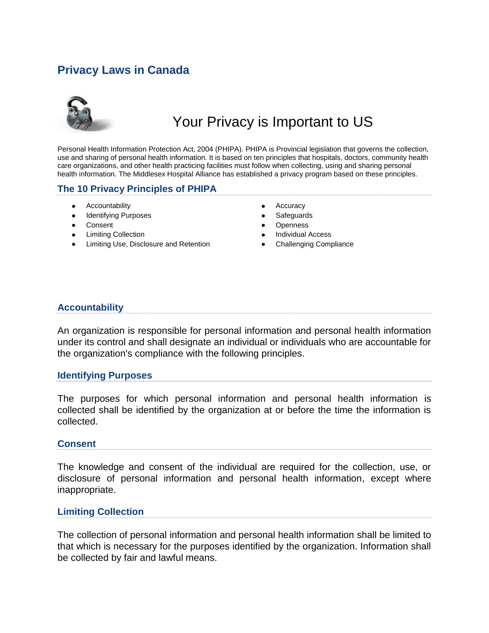# **Privacy Laws in Canada**



# Your Privacy is Important to US

Personal Health Information Protection Act, 2004 (PHIPA). PHIPA is Provincial legislation that governs the collection, use and sharing of personal health information. It is based on ten principles that hospitals, doctors, community health care organizations, and other health practicing facilities must follow when collecting, using and sharing personal health information. The Middlesex Hospital Alliance has established a privacy program based on these principles.

## **The 10 Privacy Principles of PHIPA**

- Accountability
- $\bullet$ Identifying Purposes
- Consent
- Limiting Collection
- Limiting Use, Disclosure and Retention
- Accuracy
- **Safeguards**
- **Openness**
- Individual Access
- Challenging Compliance

## **Accountability**

An organization is responsible for personal information and personal health information under its control and shall designate an individual or individuals who are accountable for the organization's compliance with the following principles.

#### **Identifying Purposes**

The purposes for which personal information and personal health information is collected shall be identified by the organization at or before the time the information is collected.

#### **Consent**

The knowledge and consent of the individual are required for the collection, use, or disclosure of personal information and personal health information, except where inappropriate.

#### **Limiting Collection**

The collection of personal information and personal health information shall be limited to that which is necessary for the purposes identified by the organization. Information shall be collected by fair and lawful means.